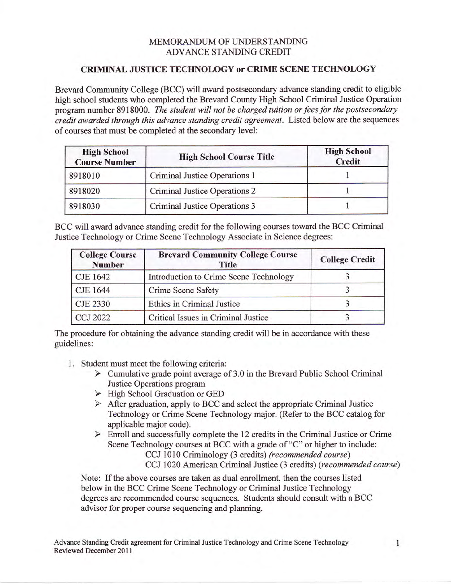## MEMORANDUM OF UNDERSTANDING ADVANCE STANDING CREDIT

## CRIMINAL JUSTICE TECHNOLOGY OT CRIME SCENE TECHNOLOGY

Brevard Community College (BCC) will award postsecondary advance standing credit to eligible high school students who completed the Brevard County High School Criminal Justice Operation program number 8918000. The student will not be charged tuition or fees for the postsecondary credit awarded through this advance standing credit agreement. Listed below are the sequences of courses that must be completed at the secondary level:

| <b>High School</b><br><b>Course Number</b> | <b>High School Course Title</b> | <b>High School</b><br><b>Credit</b> |
|--------------------------------------------|---------------------------------|-------------------------------------|
| 8918010                                    | Criminal Justice Operations 1   |                                     |
| 8918020                                    | Criminal Justice Operations 2   |                                     |
| 8918030                                    | Criminal Justice Operations 3   |                                     |

BCC will award advance standing credit for the following courses toward the BCC Criminal Justice Technology or Crime Scene Technology Associate in Science degrees:

| <b>College Course</b><br><b>Number</b> | <b>Brevard Community College Course</b><br><b>Title</b> | <b>College Credit</b> |
|----------------------------------------|---------------------------------------------------------|-----------------------|
| CJE 1642                               | Introduction to Crime Scene Technology                  |                       |
| CJE 1644                               | Crime Scene Safety                                      |                       |
| <b>CJE 2330</b>                        | Ethics in Criminal Justice                              |                       |
| <b>CCJ 2022</b>                        | Critical Issues in Criminal Justice                     |                       |

The procedure for obtaining the advance standing credit will be in accordance with these guidelines:

- 1. Student must meet the following criteria:
	- $\triangleright$  Cumulative grade point average of 3.0 in the Brevard Public School Criminal Justice Operations program
	- > High School Graduation or GED
	- $\triangleright$  After graduation, apply to BCC and select the appropriate Criminal Justice Technology or Crime Scene Technology major. (Refer to the BCC catalog for applicable major code).
	- $\triangleright$  Enroll and successfully complete the 12 credits in the Criminal Justice or Crime Scene Technology courses at BCC with a grade of "C" or higher to include:
		- CCJ 1010 Criminology (3 credits) (recommended course)

CCJ 1020 American Criminal Justice (3 credits) (recommended course)

Note: If the above courses are taken as dual enrollment, then the courses listed below in the BCC Crime Scene Technology or Criminal Justice Technology degrees are recommended course sequences. Students should consult with a BCC advisor for proper course sequencing and planning.